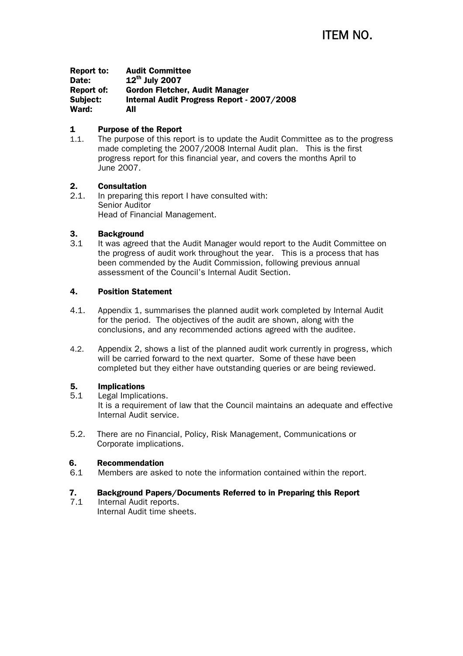Report to: Audit Committee Date:  $12^{th}$  July 2007 Report of: Gordon Fletcher, Audit Manager Subject: Internal Audit Progress Report - 2007/2008 Ward: All

# 1 Purpose of the Report

1.1. The purpose of this report is to update the Audit Committee as to the progress made completing the 2007/2008 Internal Audit plan. This is the first progress report for this financial year, and covers the months April to June 2007.

# 2. Consultation

2.1. In preparing this report I have consulted with: Senior Auditor Head of Financial Management.

# 3. Background

3.1 It was agreed that the Audit Manager would report to the Audit Committee on the progress of audit work throughout the year. This is a process that has been commended by the Audit Commission, following previous annual assessment of the Council's Internal Audit Section.

# 4. Position Statement

- 4.1. Appendix 1, summarises the planned audit work completed by Internal Audit for the period. The objectives of the audit are shown, along with the conclusions, and any recommended actions agreed with the auditee.
- 4.2. Appendix 2, shows a list of the planned audit work currently in progress, which will be carried forward to the next quarter. Some of these have been completed but they either have outstanding queries or are being reviewed.

# 5. Implications

- 5.1 Legal Implications. It is a requirement of law that the Council maintains an adequate and effective Internal Audit service.
- 5.2. There are no Financial, Policy, Risk Management, Communications or Corporate implications.

# 6. Recommendation

6.1 Members are asked to note the information contained within the report.

# 7. Background Papers/Documents Referred to in Preparing this Report

7.1 Internal Audit reports. Internal Audit time sheets.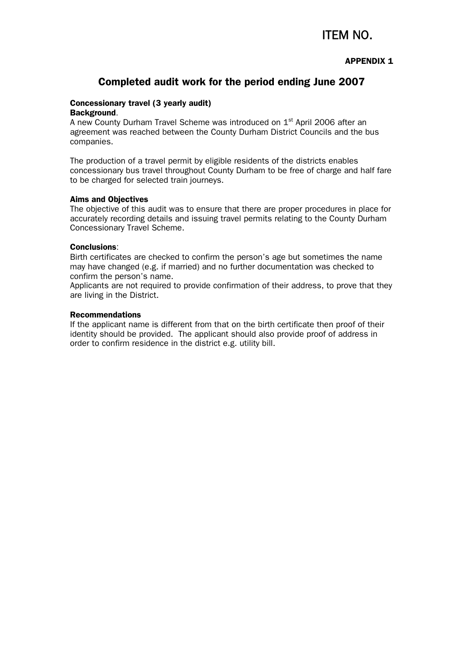# ITEM NO.

# APPENDIX 1

# Completed audit work for the period ending June 2007

### Concessionary travel (3 yearly audit) Background.

A new County Durham Travel Scheme was introduced on  $1<sup>st</sup>$  April 2006 after an agreement was reached between the County Durham District Councils and the bus companies.

The production of a travel permit by eligible residents of the districts enables concessionary bus travel throughout County Durham to be free of charge and half fare to be charged for selected train journeys.

### Aims and Objectives

The objective of this audit was to ensure that there are proper procedures in place for accurately recording details and issuing travel permits relating to the County Durham Concessionary Travel Scheme.

### Conclusions:

Birth certificates are checked to confirm the person's age but sometimes the name may have changed (e.g. if married) and no further documentation was checked to confirm the person's name.

Applicants are not required to provide confirmation of their address, to prove that they are living in the District.

### Recommendations

If the applicant name is different from that on the birth certificate then proof of their identity should be provided. The applicant should also provide proof of address in order to confirm residence in the district e.g. utility bill.